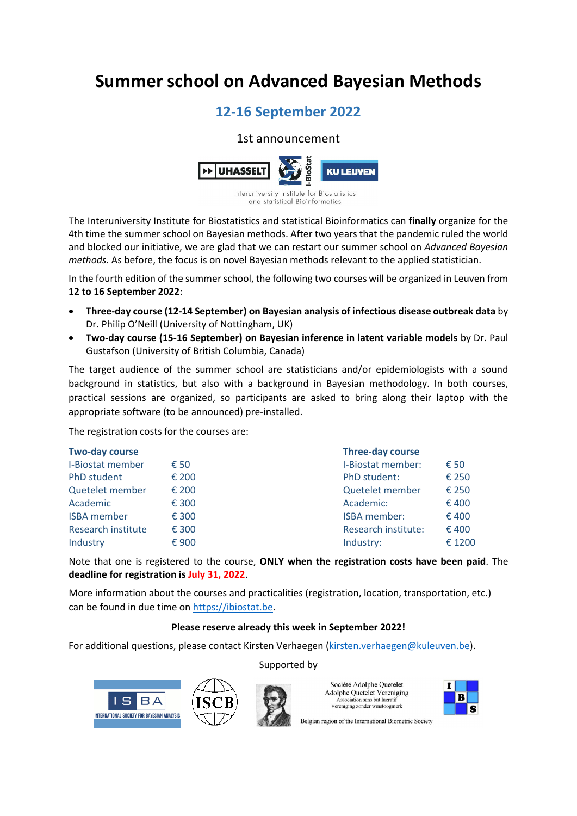# **Summer school on Advanced Bayesian Methods**

## **12-16 September 2022**

### 1st announcement



Interuniversity Institute for Biostatistics and statistical Bioinformatics

The Interuniversity Institute for Biostatistics and statistical Bioinformatics can **finally** organize for the 4th time the summer school on Bayesian methods. After two years that the pandemic ruled the world and blocked our initiative, we are glad that we can restart our summer school on *Advanced Bayesian methods*. As before, the focus is on novel Bayesian methods relevant to the applied statistician.

In the fourth edition of the summer school, the following two courses will be organized in Leuven from **12 to 16 September 2022**:

- **Three-day course (12-14 September) on Bayesian analysis of infectious disease outbreak data** by Dr. Philip O'Neill (University of Nottingham, UK)
- **Two-day course (15-16 September) on Bayesian inference in latent variable models** by Dr. Paul Gustafson (University of British Columbia, Canada)

The target audience of the summer school are statisticians and/or epidemiologists with a sound background in statistics, but also with a background in Bayesian methodology. In both courses, practical sessions are organized, so participants are asked to bring along their laptop with the appropriate software (to be announced) pre-installed.

The registration costs for the courses are:

5

INTERNATIONAL SOCIETY FOR BAYESIAN ANALYSIS

 $BA$ 

| <b>Two-day course</b>   |       | <b>Three-day course</b> |        |
|-------------------------|-------|-------------------------|--------|
| <b>I-Biostat member</b> | € 50  | I-Biostat member:       | € 50   |
| PhD student             | € 200 | PhD student:            | € 250  |
| Quetelet member         | € 200 | Quetelet member         | € 250  |
| Academic                | € 300 | Academic:               | €400   |
| <b>ISBA</b> member      | € 300 | <b>ISBA</b> member:     | € 400  |
| Research institute      | € 300 | Research institute:     | € 400  |
| Industry                | € 900 | Industry:               | € 1200 |

Note that one is registered to the course, **ONLY when the registration costs have been paid**. The **deadline for registration is July 31, 2022**.

More information about the courses and practicalities (registration, location, transportation, etc.) can be found in due time on [https://ibiostat.be.](https://ibiostat.be/)

#### **Please reserve already this week in September 2022!**

For additional questions, please contact Kirsten Verhaegen [\(kirsten.verhaegen@kuleuven.be\)](mailto:kirsten.verhaegen@kuleuven.be).

Supported by



Société Adolphe Quetelet Adolphe Quetelet Vereniging Association sans but lucratif Vereniging zonder winstoogmerk



Belgian region of the International Biometric Society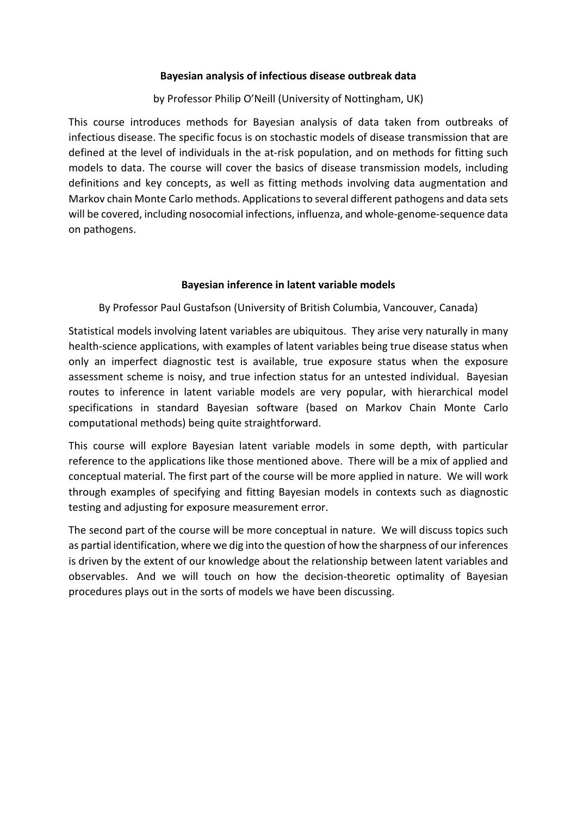#### **Bayesian analysis of infectious disease outbreak data**

by Professor Philip O'Neill (University of Nottingham, UK)

This course introduces methods for Bayesian analysis of data taken from outbreaks of infectious disease. The specific focus is on stochastic models of disease transmission that are defined at the level of individuals in the at-risk population, and on methods for fitting such models to data. The course will cover the basics of disease transmission models, including definitions and key concepts, as well as fitting methods involving data augmentation and Markov chain Monte Carlo methods. Applications to several different pathogens and data sets will be covered, including nosocomial infections, influenza, and whole-genome-sequence data on pathogens.

#### **Bayesian inference in latent variable models**

By Professor Paul Gustafson (University of British Columbia, Vancouver, Canada)

Statistical models involving latent variables are ubiquitous. They arise very naturally in many health-science applications, with examples of latent variables being true disease status when only an imperfect diagnostic test is available, true exposure status when the exposure assessment scheme is noisy, and true infection status for an untested individual. Bayesian routes to inference in latent variable models are very popular, with hierarchical model specifications in standard Bayesian software (based on Markov Chain Monte Carlo computational methods) being quite straightforward.

This course will explore Bayesian latent variable models in some depth, with particular reference to the applications like those mentioned above. There will be a mix of applied and conceptual material. The first part of the course will be more applied in nature. We will work through examples of specifying and fitting Bayesian models in contexts such as diagnostic testing and adjusting for exposure measurement error.

The second part of the course will be more conceptual in nature. We will discuss topics such as partial identification, where we dig into the question of how the sharpness of our inferences is driven by the extent of our knowledge about the relationship between latent variables and observables. And we will touch on how the decision-theoretic optimality of Bayesian procedures plays out in the sorts of models we have been discussing.